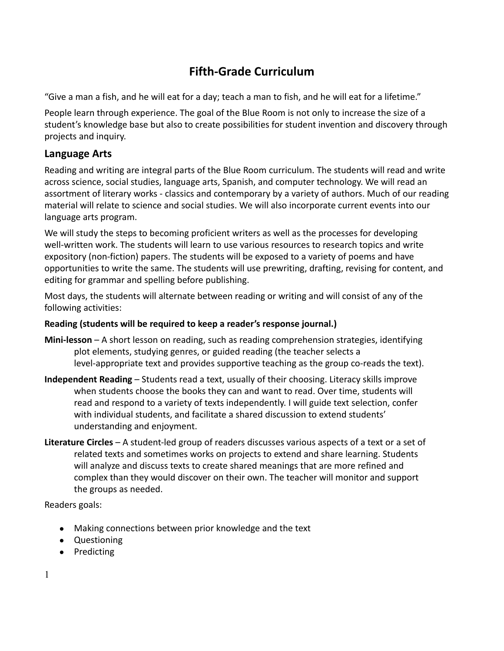# **Fifth-Grade Curriculum**

"Give a man a fish, and he will eat for a day; teach a man to fish, and he will eat for a lifetime."

People learn through experience. The goal of the Blue Room is not only to increase the size of a student's knowledge base but also to create possibilities for student invention and discovery through projects and inquiry.

# **Language Arts**

Reading and writing are integral parts of the Blue Room curriculum. The students will read and write across science, social studies, language arts, Spanish, and computer technology. We will read an assortment of literary works - classics and contemporary by a variety of authors. Much of our reading material will relate to science and social studies. We will also incorporate current events into our language arts program.

We will study the steps to becoming proficient writers as well as the processes for developing well-written work. The students will learn to use various resources to research topics and write expository (non-fiction) papers. The students will be exposed to a variety of poems and have opportunities to write the same. The students will use prewriting, drafting, revising for content, and editing for grammar and spelling before publishing.

Most days, the students will alternate between reading or writing and will consist of any of the following activities:

#### **Reading (students will be required to keep a reader's response journal.)**

- **Mini-lesson** A short lesson on reading, such as reading comprehension strategies, identifying plot elements, studying genres, or guided reading (the teacher selects a level-appropriate text and provides supportive teaching as the group co-reads the text).
- **Independent Reading** Students read a text, usually of their choosing. Literacy skills improve when students choose the books they can and want to read. Over time, students will read and respond to a variety of texts independently. I will guide text selection, confer with individual students, and facilitate a shared discussion to extend students' understanding and enjoyment.
- **Literature Circles** A student-led group of readers discusses various aspects of a text or a set of related texts and sometimes works on projects to extend and share learning. Students will analyze and discuss texts to create shared meanings that are more refined and complex than they would discover on their own. The teacher will monitor and support the groups as needed.

Readers goals:

- Making connections between prior knowledge and the text
- Questioning
- Predicting

1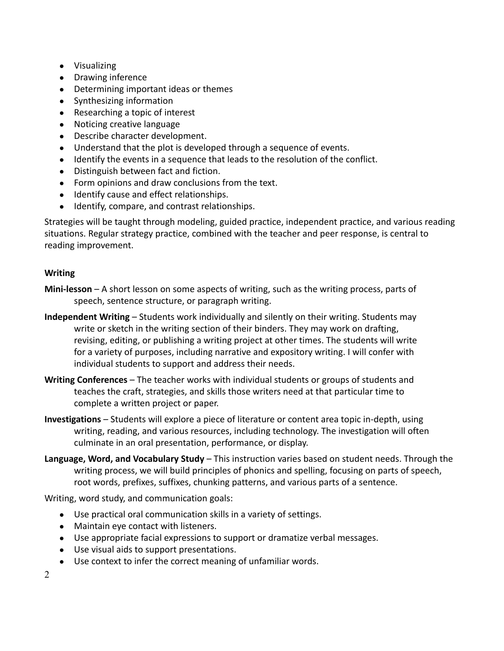- Visualizing
- Drawing inference
- Determining important ideas or themes
- Synthesizing information
- Researching a topic of interest
- Noticing creative language
- Describe character development.
- Understand that the plot is developed through a sequence of events.
- Identify the events in a sequence that leads to the resolution of the conflict.
- Distinguish between fact and fiction.
- Form opinions and draw conclusions from the text.
- Identify cause and effect relationships.
- Identify, compare, and contrast relationships.

Strategies will be taught through modeling, guided practice, independent practice, and various reading situations. Regular strategy practice, combined with the teacher and peer response, is central to reading improvement.

#### **Writing**

- **Mini-lesson** A short lesson on some aspects of writing, such as the writing process, parts of speech, sentence structure, or paragraph writing.
- **Independent Writing** Students work individually and silently on their writing. Students may write or sketch in the writing section of their binders. They may work on drafting, revising, editing, or publishing a writing project at other times. The students will write for a variety of purposes, including narrative and expository writing. I will confer with individual students to support and address their needs.
- **Writing Conferences** The teacher works with individual students or groups of students and teaches the craft, strategies, and skills those writers need at that particular time to complete a written project or paper.
- **Investigations** Students will explore a piece of literature or content area topic in-depth, using writing, reading, and various resources, including technology. The investigation will often culminate in an oral presentation, performance, or display.
- **Language, Word, and Vocabulary Study** This instruction varies based on student needs. Through the writing process, we will build principles of phonics and spelling, focusing on parts of speech, root words, prefixes, suffixes, chunking patterns, and various parts of a sentence.

Writing, word study, and communication goals:

- Use practical oral communication skills in a variety of settings.
- Maintain eye contact with listeners.
- Use appropriate facial expressions to support or dramatize verbal messages.
- Use visual aids to support presentations.
- Use context to infer the correct meaning of unfamiliar words.

2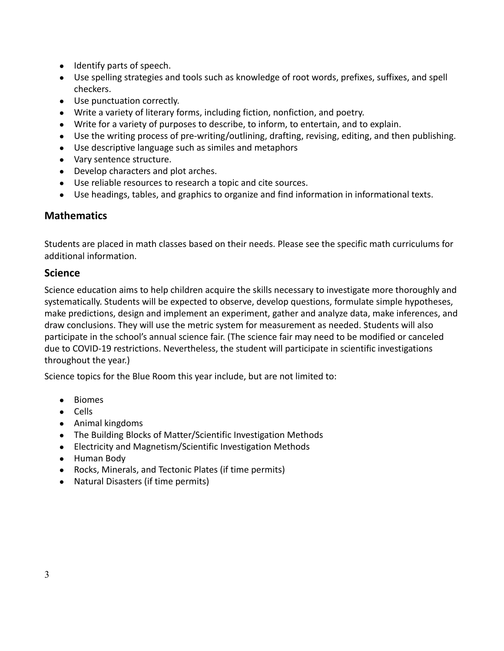- Identify parts of speech.
- Use spelling strategies and tools such as knowledge of root words, prefixes, suffixes, and spell checkers.
- Use punctuation correctly.
- Write a variety of literary forms, including fiction, nonfiction, and poetry.
- Write for a variety of purposes to describe, to inform, to entertain, and to explain.
- Use the writing process of pre-writing/outlining, drafting, revising, editing, and then publishing.
- Use descriptive language such as similes and metaphors
- Vary sentence structure.
- Develop characters and plot arches.
- Use reliable resources to research a topic and cite sources.
- Use headings, tables, and graphics to organize and find information in informational texts.

#### **Mathematics**

Students are placed in math classes based on their needs. Please see the specific math curriculums for additional information.

#### **Science**

Science education aims to help children acquire the skills necessary to investigate more thoroughly and systematically. Students will be expected to observe, develop questions, formulate simple hypotheses, make predictions, design and implement an experiment, gather and analyze data, make inferences, and draw conclusions. They will use the metric system for measurement as needed. Students will also participate in the school's annual science fair. (The science fair may need to be modified or canceled due to COVID-19 restrictions. Nevertheless, the student will participate in scientific investigations throughout the year.)

Science topics for the Blue Room this year include, but are not limited to:

- Biomes
- Cells
- Animal kingdoms
- The Building Blocks of Matter/Scientific Investigation Methods
- Electricity and Magnetism/Scientific Investigation Methods
- Human Body
- Rocks, Minerals, and Tectonic Plates (if time permits)
- Natural Disasters (if time permits)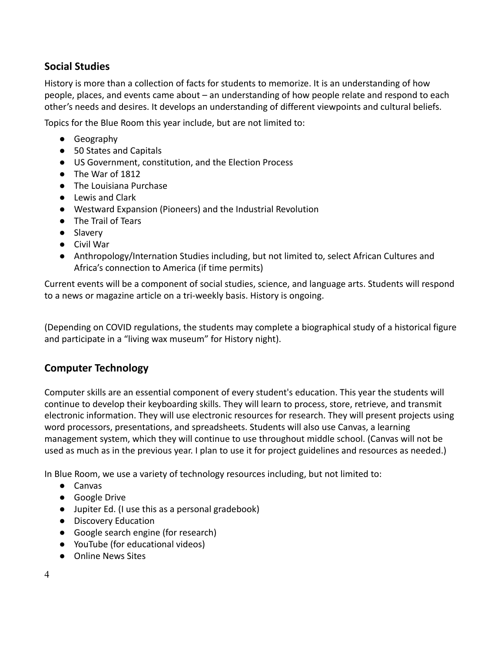# **Social Studies**

History is more than a collection of facts for students to memorize. It is an understanding of how people, places, and events came about – an understanding of how people relate and respond to each other's needs and desires. It develops an understanding of different viewpoints and cultural beliefs.

Topics for the Blue Room this year include, but are not limited to:

- Geography
- 50 States and Capitals
- US Government, constitution, and the Election Process
- The War of 1812
- The Louisiana Purchase
- Lewis and Clark
- Westward Expansion (Pioneers) and the Industrial Revolution
- The Trail of Tears
- Slavery
- Civil War
- Anthropology/Internation Studies including, but not limited to, select African Cultures and Africa's connection to America (if time permits)

Current events will be a component of social studies, science, and language arts. Students will respond to a news or magazine article on a tri-weekly basis. History is ongoing.

(Depending on COVID regulations, the students may complete a biographical study of a historical figure and participate in a "living wax museum" for History night).

# **Computer Technology**

Computer skills are an essential component of every student's education. This year the students will continue to develop their keyboarding skills. They will learn to process, store, retrieve, and transmit electronic information. They will use electronic resources for research. They will present projects using word processors, presentations, and spreadsheets. Students will also use Canvas, a learning management system, which they will continue to use throughout middle school. (Canvas will not be used as much as in the previous year. I plan to use it for project guidelines and resources as needed.)

In Blue Room, we use a variety of technology resources including, but not limited to:

- Canvas
- Google Drive
- Jupiter Ed. (I use this as a personal gradebook)
- Discovery Education
- Google search engine (for research)
- YouTube (for educational videos)
- Online News Sites